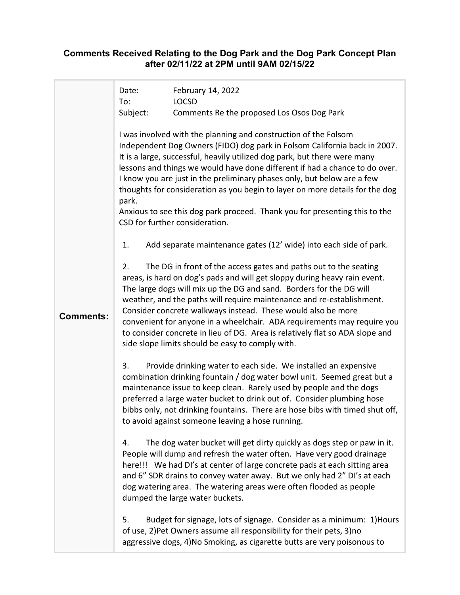## **Comments Received Relating to the Dog Park and the Dog Park Concept Plan after 02/11/22 at 2PM until 9AM 02/15/22**

|                  | Date:<br>To: | February 14, 2022<br><b>LOCSD</b>                                                                                                                                                                                                                                                                                                                                                                                                                                                                                                                                                   |
|------------------|--------------|-------------------------------------------------------------------------------------------------------------------------------------------------------------------------------------------------------------------------------------------------------------------------------------------------------------------------------------------------------------------------------------------------------------------------------------------------------------------------------------------------------------------------------------------------------------------------------------|
|                  | Subject:     | Comments Re the proposed Los Osos Dog Park                                                                                                                                                                                                                                                                                                                                                                                                                                                                                                                                          |
|                  | park.        | I was involved with the planning and construction of the Folsom<br>Independent Dog Owners (FIDO) dog park in Folsom California back in 2007.<br>It is a large, successful, heavily utilized dog park, but there were many<br>lessons and things we would have done different if had a chance to do over.<br>I know you are just in the preliminary phases only, but below are a few<br>thoughts for consideration as you begin to layer on more details for the dog<br>Anxious to see this dog park proceed. Thank you for presenting this to the<br>CSD for further consideration. |
|                  | 1.           | Add separate maintenance gates (12' wide) into each side of park.                                                                                                                                                                                                                                                                                                                                                                                                                                                                                                                   |
| <b>Comments:</b> | 2.           | The DG in front of the access gates and paths out to the seating<br>areas, is hard on dog's pads and will get sloppy during heavy rain event.<br>The large dogs will mix up the DG and sand. Borders for the DG will<br>weather, and the paths will require maintenance and re-establishment.<br>Consider concrete walkways instead. These would also be more<br>convenient for anyone in a wheelchair. ADA requirements may require you<br>to consider concrete in lieu of DG. Area is relatively flat so ADA slope and<br>side slope limits should be easy to comply with.        |
|                  | 3.           | Provide drinking water to each side. We installed an expensive<br>combination drinking fountain / dog water bowl unit. Seemed great but a<br>maintenance issue to keep clean. Rarely used by people and the dogs<br>preferred a large water bucket to drink out of. Consider plumbing hose<br>bibbs only, not drinking fountains. There are hose bibs with timed shut off,<br>to avoid against someone leaving a hose running.                                                                                                                                                      |
|                  | 4.           | The dog water bucket will get dirty quickly as dogs step or paw in it.<br>People will dump and refresh the water often. Have very good drainage<br>here!!! We had DI's at center of large concrete pads at each sitting area<br>and 6" SDR drains to convey water away. But we only had 2" DI's at each<br>dog watering area. The watering areas were often flooded as people<br>dumped the large water buckets.                                                                                                                                                                    |
|                  | 5.           | Budget for signage, lots of signage. Consider as a minimum: 1) Hours<br>of use, 2) Pet Owners assume all responsibility for their pets, 3) no<br>aggressive dogs, 4) No Smoking, as cigarette butts are very poisonous to                                                                                                                                                                                                                                                                                                                                                           |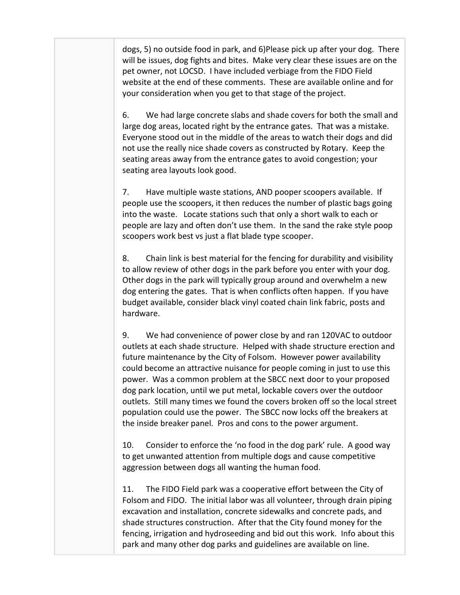dogs, 5) no outside food in park, and 6)Please pick up after your dog. There will be issues, dog fights and bites. Make very clear these issues are on the pet owner, not LOCSD. I have included verbiage from the FIDO Field website at the end of these comments. These are available online and for your consideration when you get to that stage of the project.

6. We had large concrete slabs and shade covers for both the small and large dog areas, located right by the entrance gates. That was a mistake. Everyone stood out in the middle of the areas to watch their dogs and did not use the really nice shade covers as constructed by Rotary. Keep the seating areas away from the entrance gates to avoid congestion; your seating area layouts look good.

7. Have multiple waste stations, AND pooper scoopers available. If people use the scoopers, it then reduces the number of plastic bags going into the waste. Locate stations such that only a short walk to each or people are lazy and often don't use them. In the sand the rake style poop scoopers work best vs just a flat blade type scooper.

8. Chain link is best material for the fencing for durability and visibility to allow review of other dogs in the park before you enter with your dog. Other dogs in the park will typically group around and overwhelm a new dog entering the gates. That is when conflicts often happen. If you have budget available, consider black vinyl coated chain link fabric, posts and hardware.

9. We had convenience of power close by and ran 120VAC to outdoor outlets at each shade structure. Helped with shade structure erection and future maintenance by the City of Folsom. However power availability could become an attractive nuisance for people coming in just to use this power. Was a common problem at the SBCC next door to your proposed dog park location, until we put metal, lockable covers over the outdoor outlets. Still many times we found the covers broken off so the local street population could use the power. The SBCC now locks off the breakers at the inside breaker panel. Pros and cons to the power argument.

10. Consider to enforce the 'no food in the dog park' rule. A good way to get unwanted attention from multiple dogs and cause competitive aggression between dogs all wanting the human food.

11. The FIDO Field park was a cooperative effort between the City of Folsom and FIDO. The initial labor was all volunteer, through drain piping excavation and installation, concrete sidewalks and concrete pads, and shade structures construction. After that the City found money for the fencing, irrigation and hydroseeding and bid out this work. Info about this park and many other dog parks and guidelines are available on line.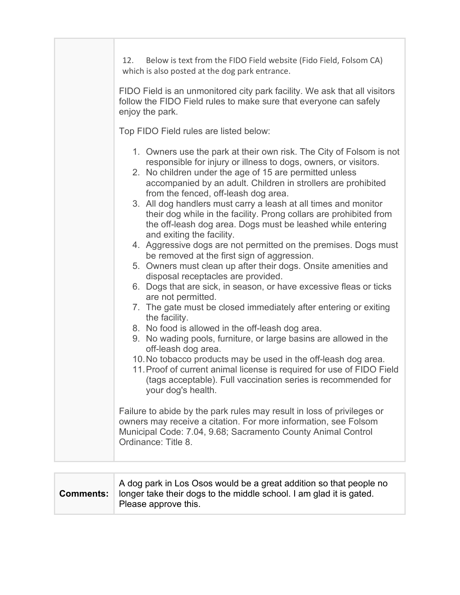| Below is text from the FIDO Field website (Fido Field, Folsom CA)<br>12.<br>which is also posted at the dog park entrance.                                                                                                                                                                                                                                                                                                                                                                                                                                                                                                                                                                                                                                                                                                                                                                                                                |
|-------------------------------------------------------------------------------------------------------------------------------------------------------------------------------------------------------------------------------------------------------------------------------------------------------------------------------------------------------------------------------------------------------------------------------------------------------------------------------------------------------------------------------------------------------------------------------------------------------------------------------------------------------------------------------------------------------------------------------------------------------------------------------------------------------------------------------------------------------------------------------------------------------------------------------------------|
| FIDO Field is an unmonitored city park facility. We ask that all visitors<br>follow the FIDO Field rules to make sure that everyone can safely<br>enjoy the park.                                                                                                                                                                                                                                                                                                                                                                                                                                                                                                                                                                                                                                                                                                                                                                         |
| Top FIDO Field rules are listed below:                                                                                                                                                                                                                                                                                                                                                                                                                                                                                                                                                                                                                                                                                                                                                                                                                                                                                                    |
| 1. Owners use the park at their own risk. The City of Folsom is not<br>responsible for injury or illness to dogs, owners, or visitors.<br>2. No children under the age of 15 are permitted unless<br>accompanied by an adult. Children in strollers are prohibited<br>from the fenced, off-leash dog area.<br>3. All dog handlers must carry a leash at all times and monitor<br>their dog while in the facility. Prong collars are prohibited from<br>the off-leash dog area. Dogs must be leashed while entering<br>and exiting the facility.<br>4. Aggressive dogs are not permitted on the premises. Dogs must<br>be removed at the first sign of aggression.<br>5. Owners must clean up after their dogs. Onsite amenities and<br>disposal receptacles are provided.<br>6. Dogs that are sick, in season, or have excessive fleas or ticks<br>are not permitted.<br>7. The gate must be closed immediately after entering or exiting |
| the facility.<br>8. No food is allowed in the off-leash dog area.<br>9. No wading pools, furniture, or large basins are allowed in the<br>off-leash dog area.                                                                                                                                                                                                                                                                                                                                                                                                                                                                                                                                                                                                                                                                                                                                                                             |
| 10. No tobacco products may be used in the off-leash dog area.<br>11. Proof of current animal license is required for use of FIDO Field<br>(tags acceptable). Full vaccination series is recommended for<br>your dog's health.                                                                                                                                                                                                                                                                                                                                                                                                                                                                                                                                                                                                                                                                                                            |
| Failure to abide by the park rules may result in loss of privileges or<br>owners may receive a citation. For more information, see Folsom<br>Municipal Code: 7.04, 9.68; Sacramento County Animal Control<br>Ordinance: Title 8.                                                                                                                                                                                                                                                                                                                                                                                                                                                                                                                                                                                                                                                                                                          |

| Comments: | A dog park in Los Osos would be a great addition so that people no<br>longer take their dogs to the middle school. I am glad it is gated.<br>Please approve this. |
|-----------|-------------------------------------------------------------------------------------------------------------------------------------------------------------------|
|-----------|-------------------------------------------------------------------------------------------------------------------------------------------------------------------|